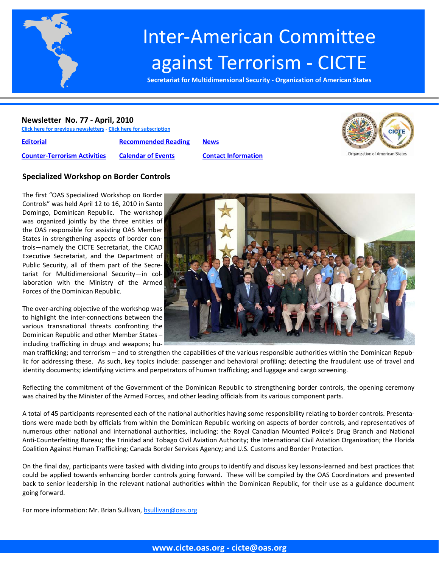

# Inter‐American Committee against Terrorism ‐ CICTE

**Secretariat for Multidimensional Security ‐ Organization of American States**

#### **Newsletter No. 77 ‐ April, 2010**

**Click here for previous [newsletters](http://www.cicte.oas.org/Rev/en/About/Newsletters/Default.asp) ‐ Click here for [subscription](www.cicte.oas.org)**

**[Editorial](#page-1-0) [Recommended](#page-7-0) Reading [News](#page-8-0) Counter‐[Terrorism](#page-3-0) Activities [Calendar](#page-7-0) of Events Contact [Information](#page-11-0)**





## **Specialized Workshop on Border Controls**

The first "OAS Specialized Workshop on Border Controls" was held April 12 to 16, 2010 in Santo Domingo, Dominican Republic. The workshop was organized jointly by the three entities of the OAS responsible for assisting OAS Member States in strengthening aspects of border con‐ trols—namely the CICTE Secretariat, the CICAD Executive Secretariat, and the Department of Public Security, all of them part of the Secre‐ tariat for Multidimensional Security—in col‐ laboration with the Ministry of the Armed Forces of the Dominican Republic.

The over-arching objective of the workshop was to highlight the inter‐connections between the various transnational threats confronting the Dominican Republic and other Member States – including trafficking in drugs and weapons; hu‐



man trafficking; and terrorism – and to strengthen the capabilities of the various responsible authorities within the Dominican Repub‐ lic for addressing these. As such, key topics include: passenger and behavioral profiling; detecting the fraudulent use of travel and identity documents; identifying victims and perpetrators of human trafficking; and luggage and cargo screening.

Reflecting the commitment of the Government of the Dominican Republic to strengthening border controls, the opening ceremony was chaired by the Minister of the Armed Forces, and other leading officials from its various component parts.

A total of 45 participants represented each of the national authorities having some responsibility relating to border controls. Presenta‐ tions were made both by officials from within the Dominican Republic working on aspects of border controls, and representatives of numerous other national and international authorities, including: the Royal Canadian Mounted Police's Drug Branch and National Anti‐Counterfeiting Bureau; the Trinidad and Tobago Civil Aviation Authority; the International Civil Aviation Organization; the Florida Coalition Against Human Trafficking; Canada Border Services Agency; and U.S. Customs and Border Protection.

On the final day, participants were tasked with dividing into groups to identify and discuss key lessons-learned and best practices that could be applied towards enhancing border controls going forward. These will be compiled by the OAS Coordinators and presented back to senior leadership in the relevant national authorities within the Dominican Republic, for their use as a guidance document going forward.

For more information: Mr. Brian Sullivan, bsullivan@oas.org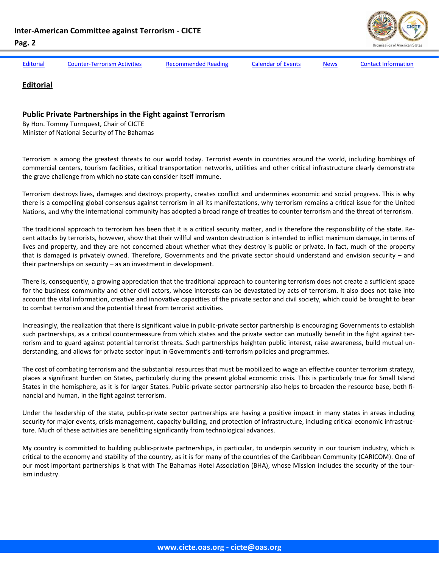<span id="page-1-0"></span>

Editorial Counter-[Terrorism](#page-3-0) Activities [Recommended](#page-7-0) Reading [Calendar](#page-7-0) of Events [News](#page-8-0) Contact [Information](#page-11-0)

## **Editorial**

## **Public Private Partnerships in the Fight against Terrorism**

By Hon. Tommy Turnquest, Chair of CICTE Minister of National Security of The Bahamas

Terrorism is among the greatest threats to our world today. Terrorist events in countries around the world, including bombings of commercial centers, tourism facilities, critical transportation networks, utilities and other critical infrastructure clearly demonstrate the grave challenge from which no state can consider itself immune.

Terrorism destroys lives, damages and destroys property, creates conflict and undermines economic and social progress. This is why there is a compelling global consensus against terrorism in all its manifestations, why terrorism remains a critical issue for the United Nations, and why the international community has adopted a broad range of treaties to counter terrorism and the threat of terrorism.

The traditional approach to terrorism has been that it is a critical security matter, and is therefore the responsibility of the state. Recent attacks by terrorists, however, show that their willful and wanton destruction is intended to inflict maximum damage, in terms of lives and property, and they are not concerned about whether what they destroy is public or private. In fact, much of the property that is damaged is privately owned. Therefore, Governments and the private sector should understand and envision security – and their partnerships on security – as an investment in development.

There is, consequently, a growing appreciation that the traditional approach to countering terrorism does not create a sufficient space for the business community and other civil actors, whose interests can be devastated by acts of terrorism. It also does not take into account the vital information, creative and innovative capacities of the private sector and civil society, which could be brought to bear to combat terrorism and the potential threat from terrorist activities.

Increasingly, the realization that there is significant value in public‐private sector partnership is encouraging Governments to establish such partnerships, as a critical countermeasure from which states and the private sector can mutually benefit in the fight against terrorism and to guard against potential terrorist threats. Such partnerships heighten public interest, raise awareness, build mutual un‐ derstanding, and allows for private sector input in Government's anti‐terrorism policies and programmes.

The cost of combating terrorism and the substantial resources that must be mobilized to wage an effective counter terrorism strategy, places a significant burden on States, particularly during the present global economic crisis. This is particularly true for Small Island States in the hemisphere, as it is for larger States. Public-private sector partnership also helps to broaden the resource base, both financial and human, in the fight against terrorism.

Under the leadership of the state, public‐private sector partnerships are having a positive impact in many states in areas including security for major events, crisis management, capacity building, and protection of infrastructure, including critical economic infrastructure. Much of these activities are benefitting significantly from technological advances.

My country is committed to building public‐private partnerships, in particular, to underpin security in our tourism industry, which is critical to the economy and stability of the country, as it is for many of the countries of the Caribbean Community (CARICOM). One of our most important partnerships is that with The Bahamas Hotel Association (BHA), whose Mission includes the security of the tour‐ ism industry.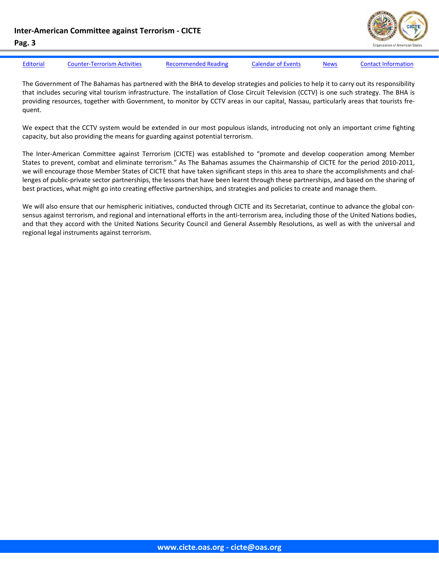

| <b>Editorial</b> | <b>Counter-Terrorism Activities</b> | <b>Recommended Reading</b> | <b>Calendar of Events</b> | <b>News</b> | <b>Contact Information</b> |
|------------------|-------------------------------------|----------------------------|---------------------------|-------------|----------------------------|

The Government of The Bahamas has partnered with the BHA to develop strategies and policies to help it to carry out its responsibility that includes securing vital tourism infrastructure. The installation of Close Circuit Television (CCTV) is one such strategy. The BHA is providing resources, together with Government, to monitor by CCTV areas in our capital, Nassau, particularly areas that tourists frequent.

We expect that the CCTV system would be extended in our most populous islands, introducing not only an important crime fighting capacity, but also providing the means for guarding against potential terrorism.

The Inter-American Committee against Terrorism (CICTE) was established to "promote and develop cooperation among Member States to prevent, combat and eliminate terrorism." As The Bahamas assumes the Chairmanship of CICTE for the period 2010‐2011, we will encourage those Member States of CICTE that have taken significant steps in this area to share the accomplishments and challenges of public-private sector partnerships, the lessons that have been learnt through these partnerships, and based on the sharing of best practices, what might go into creating effective partnerships, and strategies and policies to create and manage them.

We will also ensure that our hemispheric initiatives, conducted through CICTE and its Secretariat, continue to advance the global consensus against terrorism, and regional and international efforts in the anti-terrorism area, including those of the United Nations bodies, and that they accord with the United Nations Security Council and General Assembly Resolutions, as well as with the universal and regional legal instruments against terrorism.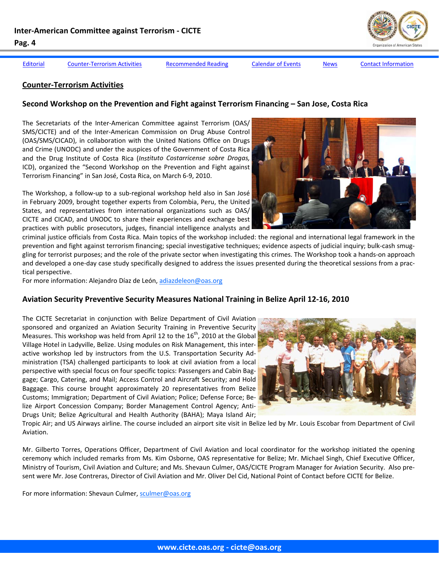<span id="page-3-0"></span>

**Counter‐Terrorism Activities** 

#### [Editorial](#page-1-0) Counter-Terrorism Activities [Recommended](#page-7-0) Reading [Calendar](#page-7-0) of Events [News](#page-8-0) Contact [Information](#page-11-0)

**Second Workshop on the Prevention and Fight against Terrorism Financing – San Jose, Costa Rica**

**www.cicte.oas.org ‐ cicte@oas.org**

The Workshop, a follow‐up to a sub‐regional workshop held also in San José in February 2009, brought together experts from Colombia, Peru, the United States, and representatives from international organizations such as OAS/ CICTE and CICAD, and UNODC to share their experiences and exchange best practices with public prosecutors, judges, financial intelligence analysts and

The Secretariats of the Inter‐American Committee against Terrorism (OAS/ SMS/CICTE) and of the Inter‐American Commission on Drug Abuse Control (OAS/SMS/CICAD), in collaboration with the United Nations Office on Drugs and Crime (UNODC) and under the auspices of the Government of Costa Rica and the Drug Institute of Costa Rica (*Instituto Costarricense sobre Drogas,* ICD), organized the "Second Workshop on the Prevention and Fight against

criminal justice officials from Costa Rica. Main topics of the workshop included: the regional and international legal framework in the prevention and fight against terrorism financing; special investigative techniques; evidence aspects of judicial inquiry; bulk‐cash smug‐ gling for terrorist purposes; and the role of the private sector when investigating this crimes. The Workshop took a hands‐on approach and developed a one-day case study specifically designed to address the issues presented during the theoretical sessions from a practical perspective.

For more information: Alejandro Díaz de León, adiazdeleon@oas.org

Terrorism Financing" in San José, Costa Rica, on March 6‐9, 2010.

# **Aviation Security Preventive Security Measures National Training in Belize April 12‐16, 2010**

The CICTE Secretariat in conjunction with Belize Department of Civil Aviation sponsored and organized an Aviation Security Training in Preventive Security Measures. This workshop was held from April 12 to the  $16<sup>th</sup>$ , 2010 at the Global Village Hotel in Ladyville, Belize. Using modules on Risk Management, this inter‐ active workshop led by instructors from the U.S. Transportation Security Ad‐ ministration (TSA) challenged participants to look at civil aviation from a local perspective with special focus on four specific topics: Passengers and Cabin Bag‐ gage; Cargo, Catering, and Mail; Access Control and Aircraft Security; and Hold Baggage. This course brought approximately 20 representatives from Belize Customs; Immigration; Department of Civil Aviation; Police; Defense Force; Be‐ lize Airport Concession Company; Border Management Control Agency; Anti‐ Drugs Unit; Belize Agricultural and Health Authority (BAHA); Maya Island Air;

Tropic Air; and US Airways airline. The course included an airport site visit in Belize led by Mr. Louis Escobar from Department of Civil Aviation.

Mr. Gilberto Torres, Operations Officer, Department of Civil Aviation and local coordinator for the workshop initiated the opening ceremony which included remarks from Ms. Kim Osborne, OAS representative for Belize; Mr. Michael Singh, Chief Executive Officer, Ministry of Tourism, Civil Aviation and Culture; and Ms. Shevaun Culmer, OAS/CICTE Program Manager for Aviation Security. Also pre‐ sent were Mr. Jose Contreras, Director of Civil Aviation and Mr. Oliver Del Cid, National Point of Contact before CICTE for Belize.

For more information: Shevaun Culmer, sculmer@oas.org





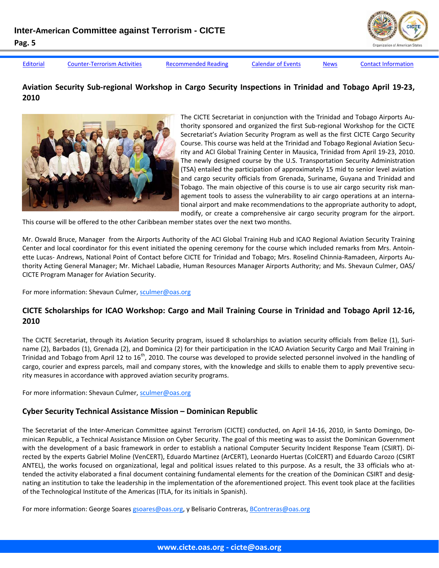

[Editorial](#page-1-0) Counter-[Terrorism](#page-3-0) Activities [Recommended](#page-7-0) Reading [Calendar](#page-7-0) of Events [News](#page-8-0) Contact [Information](#page-11-0)

# Aviation Security Sub-regional Workshop in Cargo Security Inspections in Trinidad and Tobago April 19-23, **2010**



The CICTE Secretariat in conjunction with the Trinidad and Tobago Airports Au‐ thority sponsored and organized the first Sub‐regional Workshop for the CICTE Secretariat's Aviation Security Program as well as the first CICTE Cargo Security Course. This course was held at the Trinidad and Tobago Regional Aviation Secu‐ rity and ACI Global Training Center in Mausica, Trinidad from April 19‐23, 2010. The newly designed course by the U.S. Transportation Security Administration (TSA) entailed the participation of approximately 15 mid to senior level aviation and cargo security officials from Grenada, Suriname, Guyana and Trinidad and Tobago. The main objective of this course is to use air cargo security risk man‐ agement tools to assess the vulnerability to air cargo operations at an international airport and make recommendations to the appropriate authority to adopt, modify, or create a comprehensive air cargo security program for the airport.

This course will be offered to the other Caribbean member states over the next two months.

Mr. Oswald Bruce, Manager from the Airports Authority of the ACI Global Training Hub and ICAO Regional Aviation Security Training Center and local coordinator for this event initiated the opening ceremony for the course which included remarks from Mrs. Antoin‐ ette Lucas- Andrews, National Point of Contact before CICTE for Trinidad and Tobago; Mrs. Roselind Chinnia-Ramadeen, Airports Authority Acting General Manager; Mr. Michael Labadie, Human Resources Manager Airports Authority; and Ms. Shevaun Culmer, OAS/ CICTE Program Manager for Aviation Security.

For more information: Shevaun Culmer, sculmer@oas.org

# CICTE Scholarships for ICAO Workshop: Cargo and Mail Training Course in Trinidad and Tobago April 12-16, **2010**

The CICTE Secretariat, through its Aviation Security program, issued 8 scholarships to aviation security officials from Belize (1), Suri‐ name (2), Barbados (1), Grenada (2), and Dominica (2) for their participation in the ICAO Aviation Security Cargo and Mail Training in Trinidad and Tobago from April 12 to  $16<sup>th</sup>$ , 2010. The course was developed to provide selected personnel involved in the handling of cargo, courier and express parcels, mail and company stores, with the knowledge and skills to enable them to apply preventive security measures in accordance with approved aviation security programs.

For more information: Shevaun Culmer, sculmer@oas.org

# **Cyber Security Technical Assistance Mission – Dominican Republic**

The Secretariat of the Inter-American Committee against Terrorism (CICTE) conducted, on April 14-16, 2010, in Santo Domingo, Dominican Republic, a Technical Assistance Mission on Cyber Security. The goal of this meeting was to assist the Dominican Government with the development of a basic framework in order to establish a national Computer Security Incident Response Team (CSIRT). Di‐ rected by the experts Gabriel Moline (VenCERT), Eduardo Martinez (ArCERT), Leonardo Huertas (ColCERT) and Eduardo Carozo (CSIRT ANTEL), the works focused on organizational, legal and political issues related to this purpose. As a result, the 33 officials who at‐ tended the activity elaborated a final document containing fundamental elements for the creation of the Dominican CSIRT and designating an institution to take the leadership in the implementation of the aforementioned project. This event took place at the facilities of the Technological Institute of the Americas (ITLA, for its initials in Spanish).

For more information: George Soares gsoares@oas.org, y Belisario Contreras, BContreras@oas.org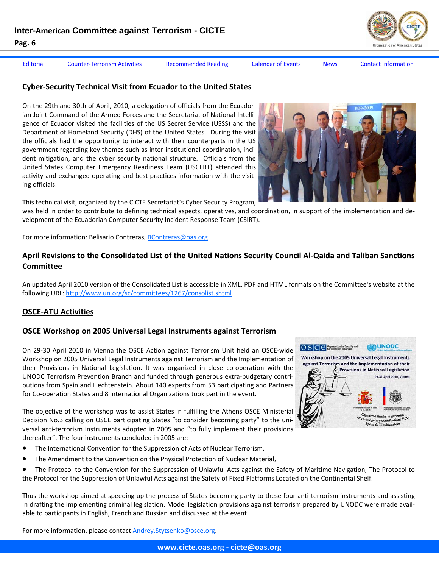

[Editorial](#page-1-0) Counter-[Terrorism](#page-3-0) Activities [Recommended](#page-7-0) Reading [Calendar](#page-7-0) of Events [News](#page-8-0) Contact [Information](#page-11-0)

## **Cyber‐Security Technical Visit from Ecuador to the United States**

On the 29th and 30th of April, 2010, a delegation of officials from the Ecuador‐ ian Joint Command of the Armed Forces and the Secretariat of National Intelli‐ gence of Ecuador visited the facilities of the US Secret Service (USSS) and the Department of Homeland Security (DHS) of the United States. During the visit the officials had the opportunity to interact with their counterparts in the US government regarding key themes such as inter‐institutional coordination, inci‐ dent mitigation, and the cyber security national structure. Officials from the United States Computer Emergency Readiness Team (USCERT) attended this activity and exchanged operating and best practices information with the visit‐ ing officials.

This technical visit, organized by the CICTE Secretariat's Cyber Security Program,

was held in order to contribute to defining technical aspects, operatives, and coordination, in support of the implementation and de‐ velopment of the Ecuadorian Computer Security Incident Response Team (CSIRT).

For more information: Belisario Contreras, BContreras@oas.org

## April Revisions to the Consolidated List of the United Nations Security Council Al-Qaida and Taliban Sanctions **Committee**

An updated April 2010 version of the Consolidated List is accessible in XML, PDF and HTML formats on the Committee's website at the following URL: http://www.un.org/sc/committees/1267/consolist.shtml

## **OSCE‐ATU Activities**

## **OSCE Workshop on 2005 Universal Legal Instruments against Terrorism**

On 29‐30 April 2010 in Vienna the OSCE Action against Terrorism Unit held an OSCE‐wide Workshop on 2005 Universal Legal Instruments against Terrorism and the Implementation of their Provisions in National Legislation. It was organized in close co-operation with the UNODC Terrorism Prevention Branch and funded through generous extra‐budgetary contri‐ butions from Spain and Liechtenstein. About 140 experts from 53 participating and Partners for Co-operation States and 8 International Organizations took part in the event.

The objective of the workshop was to assist States in fulfilling the Athens OSCE Ministerial Decision No.3 calling on OSCE participating States "to consider becoming party" to the uni‐ versal anti‐terrorism instruments adopted in 2005 and "to fully implement their provisions thereafter". The four instruments concluded in 2005 are:

- The International Convention for the Suppression of Acts of Nuclear Terrorism,
- The Amendment to the Convention on the Physical Protection of Nuclear Material,
- The Protocol to the Convention for the Suppression of Unlawful Acts against the Safety of Maritime Navigation, The Protocol to the Protocol for the Suppression of Unlawful Acts against the Safety of Fixed Platforms Located on the Continental Shelf.

Thus the workshop aimed at speeding up the process of States becoming party to these four anti-terrorism instruments and assisting in drafting the implementing criminal legislation. Model legislation provisions against terrorism prepared by UNODC were made available to participants in English, French and Russian and discussed at the event.

For more information, please contact **Andrey.Stytsenko@osce.org**.

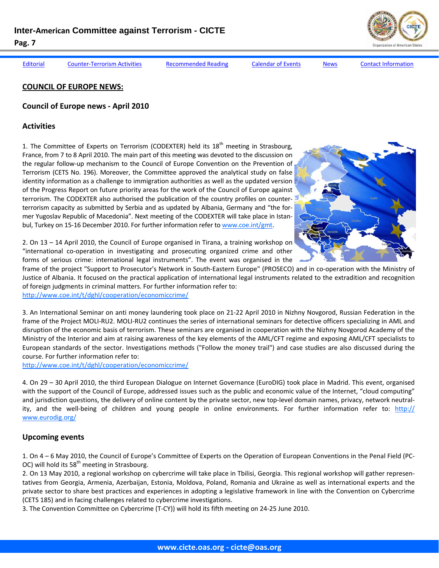[Editorial](#page-1-0) Counter-[Terrorism](#page-3-0) Activities [Recommended](#page-7-0) Reading [Calendar](#page-7-0) of Events [News](#page-8-0) Contact [Information](#page-11-0)

## **COUNCIL OF EUROPE NEWS:**

## **Council of Europe news ‐ April 2010**

## **Activities**

1. The Committee of Experts on Terrorism (CODEXTER) held its  $18<sup>th</sup>$  meeting in Strasbourg, France, from 7 to 8 April 2010. The main part of this meeting was devoted to the discussion on the regular follow‐up mechanism to the Council of Europe Convention on the Prevention of Terrorism (CETS No. 196). Moreover, the Committee approved the analytical study on false identity information as a challenge to immigration authorities as well as the updated version of the Progress Report on future priority areas for the work of the Council of Europe against terrorism. The CODEXTER also authorised the publication of the country profiles on counter‐ terrorism capacity as submitted by Serbia and as updated by Albania, Germany and "the for‐ mer Yugoslav Republic of Macedonia". Next meeting of the CODEXTER will take place in Istan‐ bul, Turkey on 15-16 December 2010. For further information refer to www.coe.int/gmt.



2. On 13 – 14 April 2010, the Council of Europe organised in Tirana, a training workshop on "international co‐operation in investigating and prosecuting organized crime and other forms of serious crime: international legal instruments". The event was organised in the

frame of the project "Support to Prosecutor's Network in South-Eastern Europe" (PROSECO) and in co-operation with the Ministry of Justice of Albania. It focused on the practical application of international legal instruments related to the extradition and recognition of foreign judgments in criminal matters. For further information refer to:

http://www.coe.int/t/dghl/cooperation/economiccrime/

3. An International Seminar on anti money laundering took place on 21‐22 April 2010 in Nizhny Novgorod, Russian Federation in the frame of the Project MOLI‐RU2. MOLI‐RU2 continues the series of international seminars for detective officers specializing in AML and disruption of the economic basis of terrorism. These seminars are organised in cooperation with the Nizhny Novgorod Academy of the Ministry of the Interior and aim at raising awareness of the key elements of the AML/CFT regime and exposing AML/CFT specialists to European standards of the sector. Investigations methods ("Follow the money trail") and case studies are also discussed during the course. For further information refer to:

http://www.coe.int/t/dghl/cooperation/economiccrime/

4. On 29 – 30 April 2010, the third European Dialogue on Internet Governance (EuroDIG) took place in Madrid. This event, organised with the support of the Council of Europe, addressed issues such as the public and economic value of the Internet, "cloud computing" and jurisdiction questions, the delivery of online content by the private sector, new top-level domain names, privacy, network neutrality, and the well-being of children and young people in online environments. For further information refer to: http:// www.eurodig.org/

## **Upcoming events**

1. On 4 – 6 May 2010, the Council of Europe's Committee of Experts on the Operation of European Conventions in the Penal Field (PC‐ OC) will hold its  $58<sup>th</sup>$  meeting in Strasbourg.

2. On 13 May 2010, a regional workshop on cybercrime will take place in Tbilisi, Georgia. This regional workshop will gather represen‐ tatives from Georgia, Armenia, Azerbaijan, Estonia, Moldova, Poland, Romania and Ukraine as well as international experts and the private sector to share best practices and experiences in adopting a legislative framework in line with the Convention on Cybercrime (CETS 185) and in facing challenges related to cybercrime investigations.

3. The Convention Committee on Cybercrime (T‐CY)) will hold its fifth meeting on 24‐25 June 2010.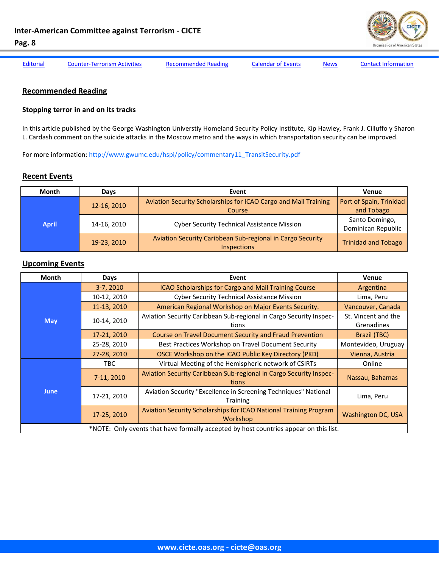

<span id="page-7-0"></span>

[Editorial](#page-1-0) Counter-[Terrorism](#page-3-0) Activities Recommended Reading Calendar of Events [News](#page-8-0) Contact [Information](#page-11-0)

## **Recommended Reading**

#### **Stopping terror in and on its tracks**

In this article published by the George Washington Universtiy Homeland Security Policy Institute, Kip Hawley, Frank J. Cilluffo y Sharon L. Cardash comment on the suicide attacks in the Moscow metro and the ways in which transportation security can be improved.

For more information: http://www.gwumc.edu/hspi/policy/commentary11\_TransitSecurity.pdf

#### **Recent Events**

| <b>Month</b> | Days        | Event                                                                            | Venue                                 |
|--------------|-------------|----------------------------------------------------------------------------------|---------------------------------------|
| <b>April</b> | 12-16, 2010 | Aviation Security Scholarships for ICAO Cargo and Mail Training<br>Course        | Port of Spain, Trinidad<br>and Tobago |
|              | 14-16, 2010 | <b>Cyber Security Technical Assistance Mission</b>                               | Santo Domingo,<br>Dominican Republic  |
|              | 19-23, 2010 | Aviation Security Caribbean Sub-regional in Cargo Security<br><b>Inspections</b> | <b>Trinidad and Tobago</b>            |

#### **Upcoming Events**

| Month                                                                                 | <b>Days</b>                                                                                       | Event                                                                         | <b>Venue</b>                      |  |  |  |
|---------------------------------------------------------------------------------------|---------------------------------------------------------------------------------------------------|-------------------------------------------------------------------------------|-----------------------------------|--|--|--|
|                                                                                       | 3-7, 2010                                                                                         | ICAO Scholarships for Cargo and Mail Training Course                          | Argentina                         |  |  |  |
|                                                                                       | 10-12, 2010                                                                                       | <b>Cyber Security Technical Assistance Mission</b>                            | Lima, Peru                        |  |  |  |
|                                                                                       | 11-13, 2010                                                                                       | American Regional Workshop on Major Events Security.                          | Vancouver, Canada                 |  |  |  |
| <b>May</b>                                                                            | 10-14, 2010                                                                                       | Aviation Security Caribbean Sub-regional in Cargo Security Inspec-<br>tions   | St. Vincent and the<br>Grenadines |  |  |  |
|                                                                                       | 17-21, 2010                                                                                       | Course on Travel Document Security and Fraud Prevention                       | <b>Brazil (TBC)</b>               |  |  |  |
|                                                                                       | 25-28, 2010                                                                                       | Best Practices Workshop on Travel Document Security                           | Montevideo, Uruguay               |  |  |  |
|                                                                                       | 27-28, 2010                                                                                       | OSCE Workshop on the ICAO Public Key Directory (PKD)                          | Vienna, Austria                   |  |  |  |
|                                                                                       | TBC.                                                                                              | Virtual Meeting of the Hemispheric network of CSIRTs                          | Online                            |  |  |  |
|                                                                                       | 7-11, 2010                                                                                        | Aviation Security Caribbean Sub-regional in Cargo Security Inspec-<br>tions   | Nassau, Bahamas                   |  |  |  |
| <b>June</b>                                                                           | Aviation Security "Excellence in Screening Techniques" National<br>17-21, 2010<br><b>Training</b> |                                                                               | Lima, Peru                        |  |  |  |
|                                                                                       | 17-25, 2010                                                                                       | Aviation Security Scholarships for ICAO National Training Program<br>Workshop | <b>Washington DC, USA</b>         |  |  |  |
| *NOTE: Only events that have formally accepted by host countries appear on this list. |                                                                                                   |                                                                               |                                   |  |  |  |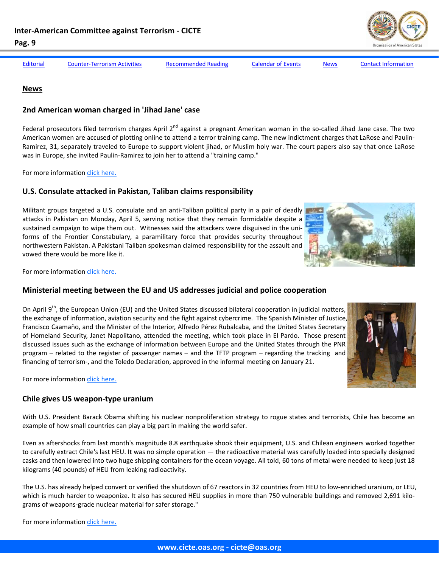<span id="page-8-0"></span>**Pag. 9**  [Editorial](#page-1-0) Counter-[Terrorism](#page-3-0) Activities [Recommended](#page-7-0) Reading [Calendar](#page-7-0) of Events News Contact [Information](#page-11-0)

#### **News**

## **2nd American woman charged in 'Jihad Jane' case**

Federal prosecutors filed terrorism charges April  $2^{nd}$  against a pregnant American woman in the so-called Jihad Jane case. The two American women are accused of plotting online to attend a terror training camp. The new indictment charges that LaRose and Paulin‐ Ramirez, 31, separately traveled to Europe to support violent jihad, or Muslim holy war. The court papers also say that once LaRose was in Europe, she invited Paulin-Ramirez to join her to attend a "training camp."

For more information click [here.](http://www.washingtonpost.com/wp-dyn/content/article/2010/04/02/AR2010040202558.html)

## **U.S. Consulate attacked in Pakistan, Taliban claims responsibility**

Militant groups targeted a U.S. consulate and an anti‐Taliban political party in a pair of deadly attacks in Pakistan on Monday, April 5, serving notice that they remain formidable despite a sustained campaign to wipe them out. Witnesses said the attackers were disguised in the uniforms of the Frontier Constabulary, a paramilitary force that provides security throughout northwestern Pakistan. A Pakistani Taliban spokesman claimed responsibility for the assault and vowed there would be more like it.

For more information click [here.](http://www.washingtonpost.com/wp-dyn/content/article/2010/04/05/AR2010040500668.html?hpid=topnews)

#### **Ministerial meeting between the EU and US addresses judicial and police cooperation**

On April 9<sup>th</sup>, the European Union (EU) and the United States discussed bilateral cooperation in judicial matters, the exchange of information, aviation security and the fight against cybercrime. The Spanish Minister of Justice, Francisco Caamaño, and the Minister of the Interior, Alfredo Pérez Rubalcaba, and the United States Secretary of Homeland Security, Janet Napolitano, attended the meeting, which took place in El Pardo. Those present discussed issues such as the exchange of information between Europe and the United States through the PNR program – related to the register of passenger names – and the TFTP program – regarding the tracking and financing of terrorism-, and the Toledo Declaration, approved in the informal meeting on January 21.

For more information click [here.](http://noticias.lainformacion.com/politica/cumbre/la-reunion-ministerial-ue-eeuu-tratara-sobre-cooperacion-judicial-y-policial_638npJV9N8Jotnz8tTpdK3/)

# **Chile gives US weapon‐type uranium**

With U.S. President Barack Obama shifting his nuclear nonproliferation strategy to rogue states and terrorists, Chile has become an example of how small countries can play a big part in making the world safer.

Even as aftershocks from last month's magnitude 8.8 earthquake shook their equipment, U.S. and Chilean engineers worked together to carefully extract Chile's last HEU. It was no simple operation — the radioactive material was carefully loaded into specially designed casks and then lowered into two huge shipping containers for the ocean voyage. All told, 60 tons of metal were needed to keep just 18 kilograms (40 pounds) of HEU from leaking radioactivity.

The U.S. has already helped convert or verified the shutdown of 67 reactors in 32 countries from HEU to low‐enriched uranium, or LEU, which is much harder to weaponize. It also has secured HEU supplies in more than 750 vulnerable buildings and removed 2,691 kilograms of weapons‐grade nuclear material for safer storage."





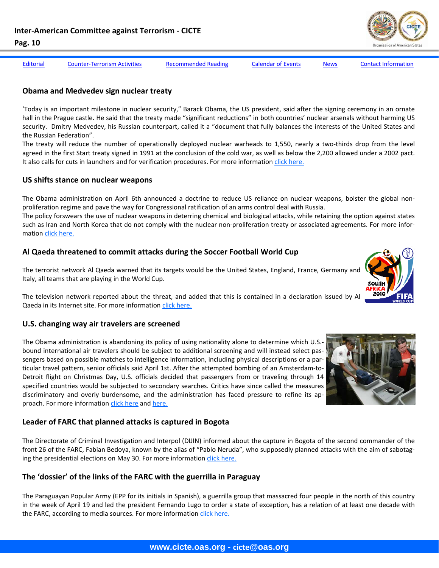

[Editorial](#page-1-0) Counter-[Terrorism](#page-3-0) Activities [Recommended](#page-7-0) Reading [Calendar](#page-7-0) of Events [News](#page-8-0) Contact [Information](#page-11-0)

## **Obama and Medvedev sign nuclear treaty**

'Today is an important milestone in nuclear security," Barack Obama, the US president, said after the signing ceremony in an ornate hall in the Prague castle. He said that the treaty made "significant reductions" in both countries' nuclear arsenals without harming US security. Dmitry Medvedev, his Russian counterpart, called it a "document that fully balances the interests of the United States and the Russian Federation".

The treaty will reduce the number of operationally deployed nuclear warheads to 1,550, nearly a two-thirds drop from the level agreed in the first Start treaty signed in 1991 at the conclusion of the cold war, as well as below the 2,200 allowed under a 2002 pact. It also calls for cuts in launchers and for verification procedures. For more information click [here.](http://www.ft.com/cms/s/0/258ebf28-4309-11df-96c4-00144feab49a.html)

## **US shifts stance on nuclear weapons**

The Obama administration on April 6th announced a doctrine to reduce US reliance on nuclear weapons, bolster the global non‐ proliferation regime and pave the way for Congressional ratification of an arms control deal with Russia.

The policy forswears the use of nuclear weapons in deterring chemical and biological attacks, while retaining the option against states such as Iran and North Korea that do not comply with the nuclear non-proliferation treaty or associated agreements. For more information click [here.](http://www.ft.com/cms/s/0/7645a478-41a5-11df-865a-00144feabdc0.html)

## **Al Qaeda threatened to commit attacks during the Soccer Football World Cup**

The terrorist network Al Qaeda warned that its targets would be the United States, England, France, Germany and Italy, all teams that are playing in the World Cup.

The television network reported about the threat, and added that this is contained in a declaration issued by Al Qaeda in its Internet site. For more information click [here.](http://www.eltiempo.com/mundo/otrasregiones/al-qaeda-amenaza-el-mundial-de-futbol-de-sudafrica_7560090-1)

## **U.S. changing way air travelers are screened**

The Obama administration is abandoning its policy of using nationality alone to determine which U.S.bound international air travelers should be subject to additional screening and will instead select pas‐ sengers based on possible matches to intelligence information, including physical descriptions or a particular travel pattern, senior officials said April 1st. After the attempted bombing of an Amsterdam‐to‐ Detroit flight on Christmas Day, U.S. officials decided that passengers from or traveling through 14 specified countries would be subjected to secondary searches. Critics have since called the measures discriminatory and overly burdensome, and the administration has faced pressure to refine its ap‐ proach. For more information click [here](: http://www.washingtonpost.com/wp-dyn/content/article/2010/04/01/AR2010040104002.html) and [here.](http://www.elpais.com/articulo/internacional/Estados/Unidos/endurece/seguridad/aerea/elpepuintusa/20100402elpepuint_8/Tes)



## **Leader of FARC that planned attacks is captured in Bogota**

The Directorate of Criminal Investigation and Interpol (DIJIN) informed about the capture in Bogota of the second commander of the front 26 of the FARC, Fabian Bedoya, known by the alias of "Pablo Neruda", who supposedly planned attacks with the aim of sabotaging the presidential elections on May 30. For more information click [here.](http://www.elnuevoherald.com/2010/04/11/694253/capturan-en-bogota-a-lider-de.html)

## **The 'dossier' of the links of the FARC with the guerrilla in Paraguay**

The Paraguayan Popular Army (EPP for its initials in Spanish), a guerrilla group that massacred four people in the north of this country in the week of April 19 and led the president Fernando Lugo to order a state of exception, has a relation of at least one decade with the FARC, according to media sources. For more information click [here.](http://www.eltiempo.com/colombia/justicia/dossier-de-nexos-de-las-farc-con-la-guerrilla-en-paraguay_7673770-1)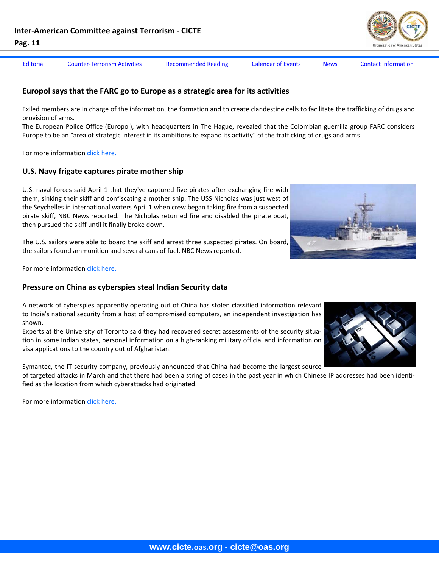[Editorial](#page-1-0) Counter-[Terrorism](#page-3-0) Activities [Recommended](#page-7-0) Reading [Calendar](#page-7-0) of Events [News](#page-8-0) Contact [Information](#page-11-0)

**www.cicte.oas.org - cicte@oas.org** 

# **Europol says that the FARC go to Europe as a strategic area for its activities**

Exiled members are in charge of the information, the formation and to create clandestine cells to facilitate the trafficking of drugs and provision of arms.

The European Police Office (Europol), with headquarters in The Hague, revealed that the Colombian guerrilla group FARC considers Europe to be an "area of strategic interest in its ambitions to expand its activity" of the trafficking of drugs and arms.

For more information click [here.](http://www.elespectador.com/articulo200478-europol-dice-farc-ven-europa-area-estrategica-su-actividad)

# **U.S. Navy frigate captures pirate mother ship**

U.S. naval forces said April 1 that they've captured five pirates after exchanging fire with them, sinking their skiff and confiscating a mother ship. The USS Nicholas was just west of the Seychelles in international waters April 1 when crew began taking fire from a suspected pirate skiff, NBC News reported. The Nicholas returned fire and disabled the pirate boat, then pursued the skiff until it finally broke down.

The U.S. sailors were able to board the skiff and arrest three suspected pirates. On board, the sailors found ammunition and several cans of fuel, NBC News reported.

For more information click [here.](http://www.msnbc.msn.com/id/36131357/ns/world_news-africa/?gt1=43001)

# **Pressure on China as cyberspies steal Indian Security data**

A network of cyberspies apparently operating out of China has stolen classified information relevant to India's national security from a host of compromised computers, an independent investigation has shown.

Experts at the University of Toronto said they had recovered secret assessments of the security situa‐ tion in some Indian states, personal information on a high‐ranking military official and information on visa applications to the country out of Afghanistan.

Symantec, the IT security company, previously announced that China had become the largest source

of targeted attacks in March and that there had been a string of cases in the past year in which Chinese IP addresses had been identi‐ fied as the location from which cyberattacks had originated.

For more information click [here.](http://www.ft.com/cms/s/0/f6101ac6-41dc-11df-865a-00144feabdc0.html)